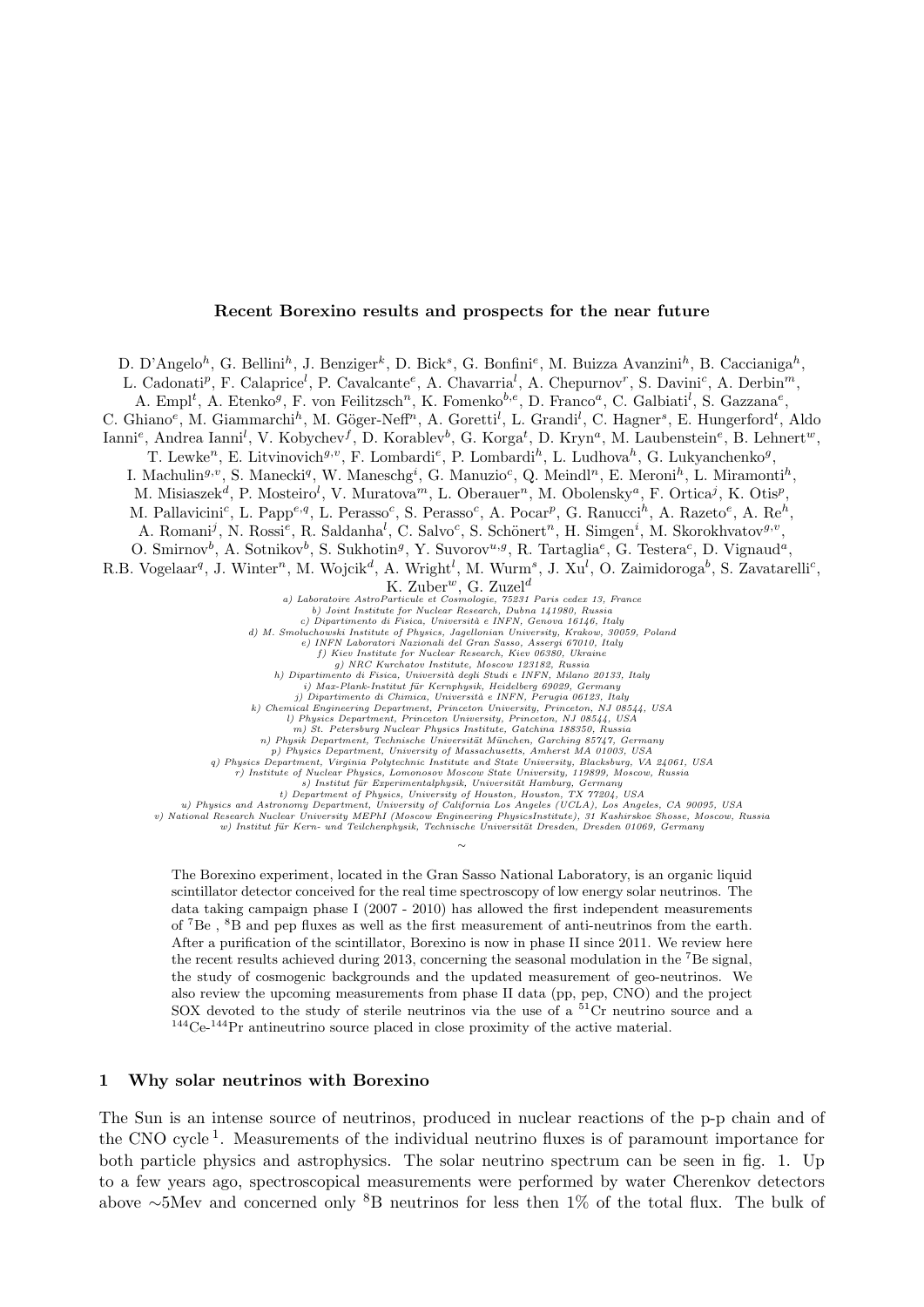#### Recent Borexino results and prospects for the near future

D. D'Angelo<sup>h</sup>, G. Bellini<sup>h</sup>, J. Benziger<sup>k</sup>, D. Bick<sup>s</sup>, G. Bonfini<sup>e</sup>, M. Buizza Avanzini<sup>h</sup>, B. Caccianiga<sup>h</sup>,

L. Cadonati<sup>p</sup>, F. Calaprice<sup>l</sup>, P. Cavalcante<sup>e</sup>, A. Chavarria<sup>l</sup>, A. Chepurnov<sup>r</sup>, S. Davini<sup>c</sup>, A. Derbin<sup>m</sup>,

A. Empl<sup>t</sup>, A. Etenko<sup>g</sup>, F. von Feilitzsch<sup>n</sup>, K. Fomenko<sup>b,e</sup>, D. Franco<sup>a</sup>, C. Galbiati<sup>l</sup>, S. Gazzana<sup>e</sup>,

C. Ghiano<sup>e</sup>, M. Giammarchi<sup>h</sup>, M. Göger-Neff<sup>n</sup>, A. Goretti<sup>l</sup>, L. Grandi<sup>l</sup>, C. Hagner<sup>s</sup>, E. Hungerford<sup>t</sup>, Aldo

Ianni<sup>e</sup>, Andrea Ianni<sup>l</sup>, V. Kobychev<sup>f</sup>, D. Korablev<sup>b</sup>, G. Korga<sup>t</sup>, D. Kryn<sup>a</sup>, M. Laubenstein<sup>e</sup>, B. Lehnert<sup>w</sup>,

T. Lewke<sup>n</sup>, E. Litvinovich<sup>g,v</sup>, F. Lombardi<sup>e</sup>, P. Lombardi<sup>h</sup>, L. Ludhova<sup>h</sup>, G. Lukyanchenko<sup>g</sup>,

I. Machulin<sup>g,v</sup>, S. Manecki<sup>q</sup>, W. Maneschg<sup>i</sup>, G. Manuzio<sup>c</sup>, Q. Meindl<sup>n</sup>, E. Meroni<sup>h</sup>, L. Miramonti<sup>h</sup>,

M. Misiaszek<sup>d</sup>, P. Mosteiro<sup>l</sup>, V. Muratova<sup>m</sup>, L. Oberauer<sup>n</sup>, M. Obolensky<sup>a</sup>, F. Ortica<sup>j</sup>, K. Otis<sup>p</sup>,

M. Pallavicini<sup>c</sup>, L. Papp<sup>e,q</sup>, L. Perasso<sup>c</sup>, S. Perasso<sup>c</sup>, A. Pocar<sup>p</sup>, G. Ranucci<sup>h</sup>, A. Razeto<sup>e</sup>, A. Re<sup>h</sup>,

A. Romani<sup>j</sup>, N. Rossi<sup>e</sup>, R. Saldanha<sup>l</sup>, C. Salvo<sup>c</sup>, S. Schönert<sup>n</sup>, H. Simgen<sup>i</sup>, M. Skorokhvatov<sup>g,v</sup>,

O. Smirnov<sup>b</sup>, A. Sotnikov<sup>b</sup>, S. Sukhotin<sup>g</sup>, Y. Suvorov<sup>u,g</sup>, R. Tartaglia<sup>e</sup>, G. Testera<sup>c</sup>, D. Vignaud<sup>a</sup>,

R.B. Vogelaar<sup>q</sup>, J. Winter<sup>n</sup>, M. Wojcik<sup>d</sup>, A. Wright<sup>l</sup>, M. Wurm<sup>s</sup>, J. Xu<sup>l</sup>, O. Zaimidoroga<sup>b</sup>, S. Zavatarelli<sup>c</sup>,

a) Laboratoire AstroParticule et Cosmologie, 75231 Paris cedex 13, France<br>
b) Joint Institute for Nuclear Research, Dubna 141980, Russia<br>
c) Dipartimento di Fisica, Università e INFN, Genova 16146, Italy

d) M. Smoluchowski Institute of Physics, Jagellonian University, Krakow, 30059, Poland<br>
e) INFN Laboratori Nazionali del Gran Sasso, Assergi 67010, Italy<br>
f) Kiev Institute for Nuclear Research, Kiev 06380, Ukraine

g) NRC Kurchatov Institute, Moscow 123182, Russia<br>
h) Dipartimento di Fisica, Università degli Studi e INFN, Milano 20133, Italy<br>
i) Max-Plank-Institut für Kernphysik, Heidelberg 69029, Germany<br>
j) Dipartimento di Chimica

m) St. Petersburg Nuclear Physics Institute, Gatchina 188350, Russia<br>n) Physik Department, Technische Universität München, Garching 85747, Germany<br>p) Physics Department, University of Massachusetts, Amherst MA 01003, USA<br>g

r) Institute of Nuclear Physics, Lomonosov Moscow State University, 119899, Moscow, Russia<br>s) Institut für Experimentalphysik, Universität Hamburg, Germany<br>t) Department of Physics, University of Houston, Houston, TX 77204

u) Physics and Astronomy Department, University of California Los Angeles (UCLA), Los Angeles, CA 90095, USA<br>v) National Research Nuclear University MEPhI (Moscow Engineering PhysicsInstitute), 31 Kashirskoe Shosse, Moscow ∼

The Borexino experiment, located in the Gran Sasso National Laboratory, is an organic liquid scintillator detector conceived for the real time spectroscopy of low energy solar neutrinos. The data taking campaign phase I (2007 - 2010) has allowed the first independent measurements of <sup>7</sup>Be , <sup>8</sup>B and pep fluxes as well as the first measurement of anti-neutrinos from the earth. After a purification of the scintillator, Borexino is now in phase II since 2011. We review here the recent results achieved during 2013, concerning the seasonal modulation in the <sup>7</sup>Be signal, the study of cosmogenic backgrounds and the updated measurement of geo-neutrinos. We also review the upcoming measurements from phase II data (pp, pep, CNO) and the project SOX devoted to the study of sterile neutrinos via the use of a <sup>51</sup>Cr neutrino source and a  $^{144}\mathrm{Ce}$ - $^{144}\mathrm{Pr}$  antineutrino source placed in close proximity of the active material.

# <span id="page-0-0"></span>1 Why solar neutrinos with Borexino

The Sun is an intense source of neutrinos, produced in nuclear reactions of the p-p chain and of the CNO cycle<sup>[1](#page-7-0)</sup>. Measurements of the individual neutrino fluxes is of paramount importance for both particle physics and astrophysics. The solar neutrino spectrum can be seen in fig. [1.](#page-0-0) Up to a few years ago, spectroscopical measurements were performed by water Cherenkov detectors above <sup>∼</sup>5Mev and concerned only <sup>8</sup>B neutrinos for less then 1% of the total flux. The bulk of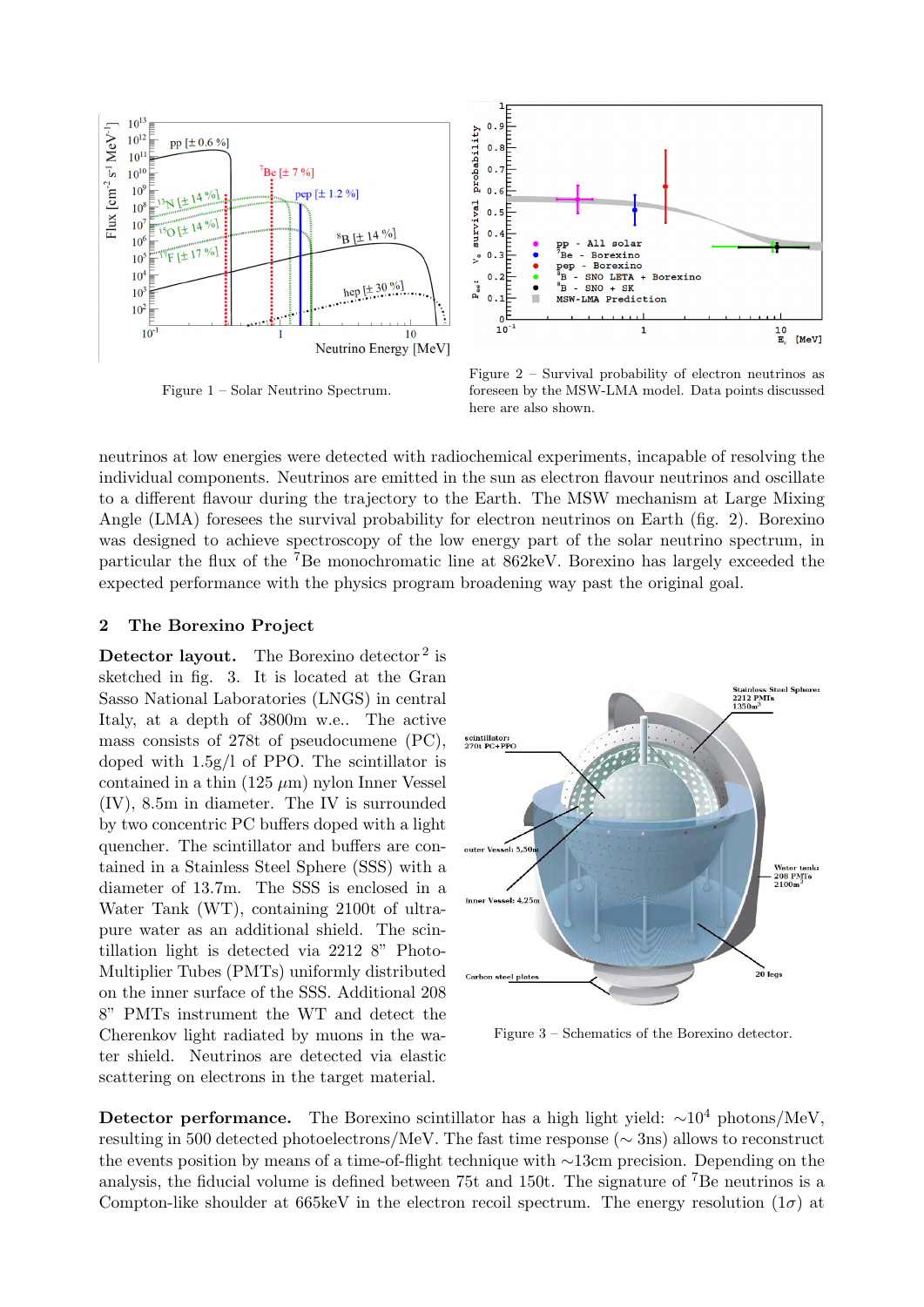

Figure 1 – Solar Neutrino Spectrum.



Figure 2 – Survival probability of electron neutrinos as foreseen by the MSW-LMA model. Data points discussed here are also shown.

neutrinos at low energies were detected with radiochemical experiments, incapable of resolving the individual components. Neutrinos are emitted in the sun as electron flavour neutrinos and oscillate to a different flavour during the trajectory to the Earth. The MSW mechanism at Large Mixing Angle (LMA) foresees the survival probability for electron neutrinos on Earth (fig. [2\)](#page-0-0). Borexino was designed to achieve spectroscopy of the low energy part of the solar neutrino spectrum, in particular the flux of the <sup>7</sup>Be monochromatic line at 862keV. Borexino has largely exceeded the expected performance with the physics program broadening way past the original goal.

#### <span id="page-1-0"></span>2 The Borexino Project

**Detector layout.** The Borexino detector<sup>[2](#page-7-1)</sup> is sketched in fig. [3.](#page-1-0) It is located at the Gran Sasso National Laboratories (LNGS) in central Italy, at a depth of 3800m w.e.. The active mass consists of 278t of pseudocumene (PC), doped with 1.5g/l of PPO. The scintillator is contained in a thin  $(125 \ \mu m)$  nylon Inner Vessel (IV), 8.5m in diameter. The IV is surrounded by two concentric PC buffers doped with a light quencher. The scintillator and buffers are contained in a Stainless Steel Sphere (SSS) with a diameter of 13.7m. The SSS is enclosed in a Water Tank (WT), containing 2100t of ultrapure water as an additional shield. The scintillation light is detected via 2212 8" Photo-Multiplier Tubes (PMTs) uniformly distributed on the inner surface of the SSS. Additional 208 8" PMTs instrument the WT and detect the Cherenkov light radiated by muons in the water shield. Neutrinos are detected via elastic scattering on electrons in the target material.



Figure 3 – Schematics of the Borexino detector.

Detector performance. The Borexino scintillator has a high light yield:  $\sim 10^4$  photons/MeV, resulting in 500 detected photoelectrons/MeV. The fast time response (∼ 3ns) allows to reconstruct the events position by means of a time-of-flight technique with ∼13cm precision. Depending on the analysis, the fiducial volume is defined between 75t and 150t. The signature of  $\mathrm{^{7}Be}$  neutrinos is a Compton-like shoulder at 665keV in the electron recoil spectrum. The energy resolution  $(1\sigma)$  at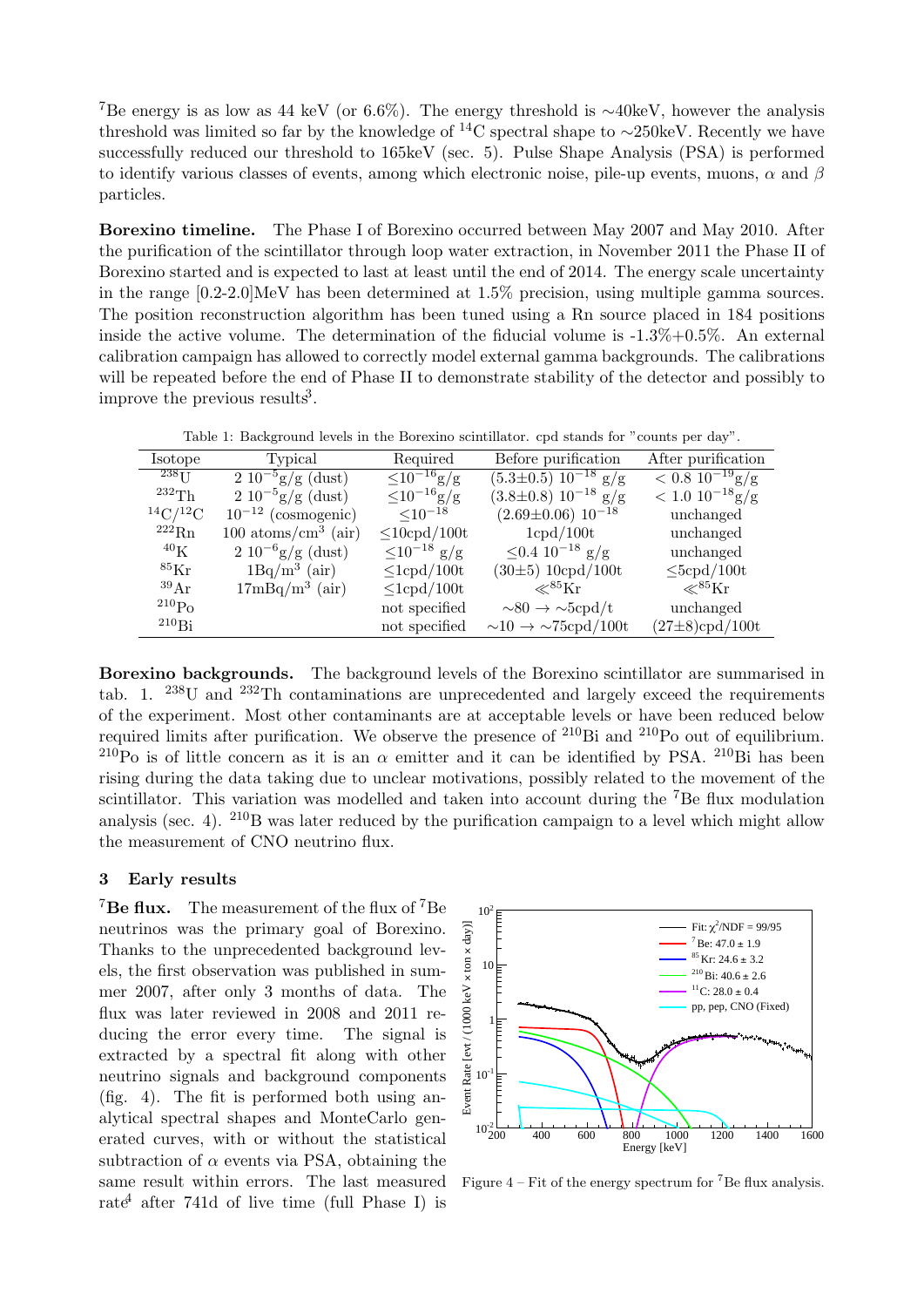<sup>7</sup>Be energy is as low as 44 keV (or 6.6%). The energy threshold is  $\sim$ 40keV, however the analysis threshold was limited so far by the knowledge of <sup>14</sup>C spectral shape to <sup>∼</sup>250keV. Recently we have successfully reduced our threshold to 165keV (sec. [5\)](#page-5-0). Pulse Shape Analysis (PSA) is performed to identify various classes of events, among which electronic noise, pile-up events, muons,  $\alpha$  and  $\beta$ particles.

<span id="page-2-0"></span>Borexino timeline. The Phase I of Borexino occurred between May 2007 and May 2010. After the purification of the scintillator through loop water extraction, in November 2011 the Phase II of Borexino started and is expected to last at least until the end of 2014. The energy scale uncertainty in the range [0.2-2.0]MeV has been determined at 1.5% precision, using multiple gamma sources. The position reconstruction algorithm has been tuned using a Rn source placed in 184 positions inside the active volume. The determination of the fiducial volume is  $-1.3\%+0.5\%$ . An external calibration campaign has allowed to correctly model external gamma backgrounds. The calibrations will be repeated before the end of Phase II to demonstrate stability of the detector and possibly to improve the previous results<sup>[3](#page-7-2)</sup>.

Table 1: Background levels in the Borexino scintillator. cpd stands for "counts per day".

| <i>Isotope</i>       | Typical                                | Required                   | Before purification                           | After purification                    |
|----------------------|----------------------------------------|----------------------------|-----------------------------------------------|---------------------------------------|
| $^{238}$ U           | $\sqrt{2\ 10^{-5} g/g}$ (dust)         | $\sqrt{\leq 10^{-16} g/g}$ | $\overline{(5.3\pm 0.5) 10^{-18} g/g}$        | $< 0.8 \ 10^{-19}$ g/g                |
| 232Th                | $2\ 10^{-5}$ g/g (dust)                | $\leq 10^{-16}$ g/g        | $(3.8\pm0.8) 10^{-18}$ g/g                    | $< 1.0 \frac{10^{-18} \text{g/g}}{g}$ |
| $^{14}C/^{12}C$      | $10^{-12}$ (cosmogenic)                | $\leq 10^{-18}$            | $(2.69 \pm 0.06) 10^{-18}$                    | unchanged                             |
| $^{222}$ Rn          | $100 \text{ atoms/cm}^3 \text{ (air)}$ | $\leq$ 10cpd/100t          | 1cpd/100t                                     | unchanged                             |
| $^{40}$ K            | $2\ 10^{-6}$ g/g (dust)                | $\leq 10^{-18}$ g/g        | $≤0.4$ 10 <sup>-18</sup> g/g                  | unchanged                             |
| ${}^{85}\mathrm{Kr}$ | $1Bq/m^3$ (air)                        | $\leq$ 1cpd/100t           | (30±5) 10cpd/100t                             | $\leq$ 5cpd/100t                      |
| 39Ar                 | $17mBq/m3$ (air)                       | $\leq$ 1cpd/100t           | $\ll$ <sup>85</sup> Kr                        | $\ll^{85}\rm{Kr}$                     |
| $^{210}Po$           |                                        | not specified              | $\sim 80 \rightarrow \sim 5 \text{cpd/t}$     | unchanged                             |
| $^{210}$ Bi          |                                        | not specified              | $\sim 10 \rightarrow \sim 75 \text{cpd}/100t$ | $(27 \pm 8)$ cpd/100t                 |

<span id="page-2-2"></span>Borexino backgrounds. The background levels of the Borexino scintillator are summarised in tab. 1.  $^{238}$ U and  $^{232}$ Th contaminations are unpreced[en](#page-2-0)ted and largely exceed the requirements tab. 1. U and In contaminations are unprecedented and largery exceed the requirements of the experiment. Most other contaminants are at acceptable levels or have been reduced below required limits after purification. We observe the presence of  $^{210}Bi$  and  $^{210}Po$  out of equilibrium. <sup>210</sup>Po is of little concern as it is an  $\alpha$  emitter and it can be identified by PSA. <sup>210</sup>Bi has been rising during the data taking due to unclear motivations, possibly related to the movement of the scintillator. This variation was modelled and taken into account during the  $7Be$  flux modulation scintifiator. This variation was modeled and taken into account during the Be nux modulation<br>analysis (sec. [4\)](#page-3-0). <sup>210</sup>B was later reduced by the purification campaign to a level which might allow the measurement of CNO neutrino flux.  $\frac{1}{1}$  analysis (sec. 4). D was fattle reduced by e<br>iv<br>kevt  $\pm 6$ are summ the requi  $_{\mathrm{out}}$  or equin

### 3 Early results  $\mathcal{L}$  uncertainty in the Standard Solar Model ( $\mathcal{L}$

<span id="page-2-1"></span><sup>7</sup>Be flux. The measurement of the flux of <sup>7</sup>Be neutrinos was the primary goal of Borexino. Thanks to the unprecedented background levels, the first observation was published in sumexp., the move based valid was published in sum mer 2007, after only 3 months of data. The flux was later reviewed in 2008 and 2011 remux was fact feverwed in 2000 and 2011 ducing the error every time. The signal is extracted by a spectral fit along with other neutrino signals and background components  $($ fig. 4 $)$ . The fit is performed both using analytical spectral shapes and MonteCarlo generated curves, with or without the statistical subtraction of  $\alpha$  events via PSA, obtaining the same result within errors. The last measured  $t_{\text{start}}$  after 741d of live time (full Phase 1 rate<sup>4</sup> after 741d of live time (full Phase I) is



Figure  $4$  – Fit of the energy spectrum for <sup>7</sup>Be flux analysis.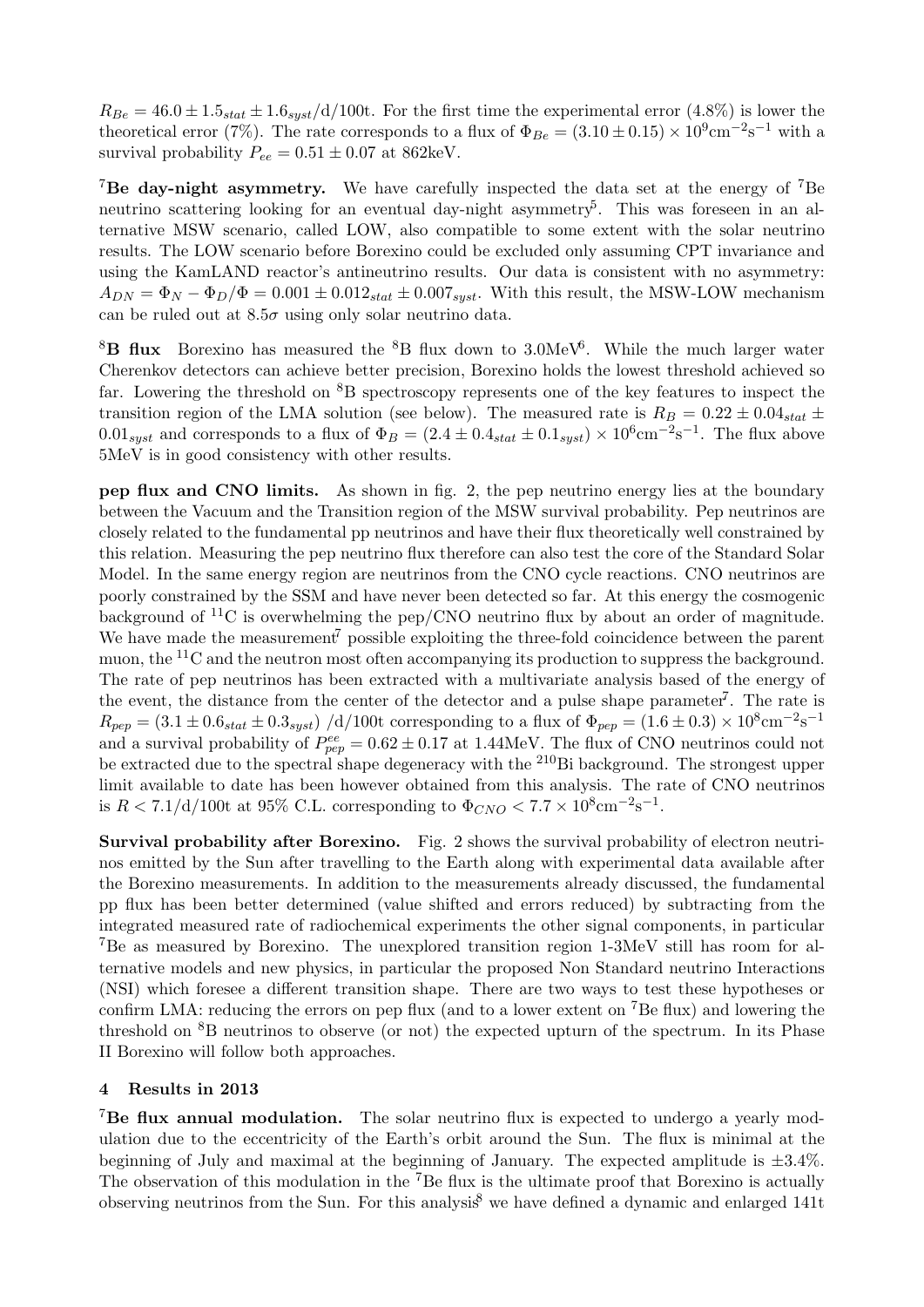$R_{Be} = 46.0 \pm 1.5_{stat} \pm 1.6_{sust}/d/100$ t. For the first time the experimental error (4.8%) is lower the theoretical error (7%). The rate corresponds to a flux of  $\Phi_{Be} = (3.10 \pm 0.15) \times 10^9 \text{cm}^{-2} \text{s}^{-1}$  with a survival probability  $P_{ee} = 0.51 \pm 0.07$  at 862keV.

<sup>7</sup>Be day-night asymmetry. We have carefully inspected the data set at the energy of <sup>7</sup>Be neutrino scattering looking for an eventual day-night asymmetry<sup>[5](#page-7-4)</sup>. This was foreseen in an alternative MSW scenario, called LOW, also compatible to some extent with the solar neutrino results. The LOW scenario before Borexino could be excluded only assuming CPT invariance and using the KamLAND reactor's antineutrino results. Our data is consistent with no asymmetry:  $A_{DN} = \Phi_N - \Phi_D/\Phi = 0.001 \pm 0.012_{stat} \pm 0.007_{syst}$ . With this result, the MSW-LOW mechanism can be ruled out at  $8.5\sigma$  using only solar neutrino data.

 $8B$  flux Borexino has measured the  $8B$  flux down to 3.0MeV<sup>[6](#page-7-5)</sup>. While the much larger water Cherenkov detectors can achieve better precision, Borexino holds the lowest threshold achieved so far. Lowering the threshold on  ${}^{8}B$  spectroscopy represents one of the key features to inspect the transition region of the LMA solution (see below). The measured rate is  $R_B = 0.22 \pm 0.04_{stat} \pm 0.04_{stat}$  $0.01_{syst}$  and corresponds to a flux of  $\Phi_B = (2.4 \pm 0.4_{stat} \pm 0.1_{syst}) \times 10^6 \text{cm}^{-2} \text{s}^{-1}$ . The flux above 5MeV is in good consistency with other results.

pep flux and CNO limits. As shown in fig. [2,](#page-0-0) the pep neutrino energy lies at the boundary between the Vacuum and the Transition region of the MSW survival probability. Pep neutrinos are closely related to the fundamental pp neutrinos and have their flux theoretically well constrained by this relation. Measuring the pep neutrino flux therefore can also test the core of the Standard Solar Model. In the same energy region are neutrinos from the CNO cycle reactions. CNO neutrinos are poorly constrained by the SSM and have never been detected so far. At this energy the cosmogenic background of  ${}^{11}C$  is overwhelming the pep/CNO neutrino flux by about an order of magnitude. We have made the measurement<sup> $7$ </sup> possible exploiting the three-fold coincidence between the parent muon, the  $^{11}$ C and the neutron most often accompanying its production to suppress the background. The rate of pep neutrinos has been extracted with a multivariate analysis based of the energy of the event, the distance from the center of the detector and a pulse shape parameter<sup>[7](#page-7-6)</sup>. The rate is  $R_{pep} = (3.1 \pm 0.6_{stat} \pm 0.3_{syst}) / d/100t$  corresponding to a flux of  $\Phi_{pep} = (1.6 \pm 0.3) \times 10^8 \text{cm}^{-2}\text{s}^{-1}$ and a survival probability of  $P_{pep}^{ee} = 0.62 \pm 0.17$  at 1.44MeV. The flux of CNO neutrinos could not be extracted due to the spectral shape degeneracy with the <sup>210</sup>Bi background. The strongest upper limit available to date has been however obtained from this analysis. The rate of CNO neutrinos is  $R < 7.1/d/100t$  at 95% C.L. corresponding to  $\Phi_{CNO} < 7.7 \times 10^8 \text{cm}^{-2} \text{s}^{-1}$ .

Survival probability after Borexino. Fig. [2](#page-0-0) shows the survival probability of electron neutrinos emitted by the Sun after travelling to the Earth along with experimental data available after the Borexino measurements. In addition to the measurements already discussed, the fundamental pp flux has been better determined (value shifted and errors reduced) by subtracting from the integrated measured rate of radiochemical experiments the other signal components, in particular <sup>7</sup>Be as measured by Borexino. The unexplored transition region 1-3MeV still has room for alternative models and new physics, in particular the proposed Non Standard neutrino Interactions (NSI) which foresee a different transition shape. There are two ways to test these hypotheses or confirm LMA: reducing the errors on pep flux (and to a lower extent on <sup>7</sup>Be flux) and lowering the threshold on <sup>8</sup>B neutrinos to observe (or not) the expected upturn of the spectrum. In its Phase II Borexino will follow both approaches.

### 4 Results in 2013

<span id="page-3-0"></span><sup>7</sup>Be flux annual modulation. The solar neutrino flux is expected to undergo a yearly modulation due to the eccentricity of the Earth's orbit around the Sun. The flux is minimal at the beginning of July and maximal at the beginning of January. The expected amplitude is  $\pm 3.4\%$ . The observation of this modulation in the <sup>7</sup>Be flux is the ultimate proof that Borexino is actually observing neutrinos from the Sun. For this analysis<sup>[8](#page-7-7)</sup> we have defined a dynamic and enlarged 141t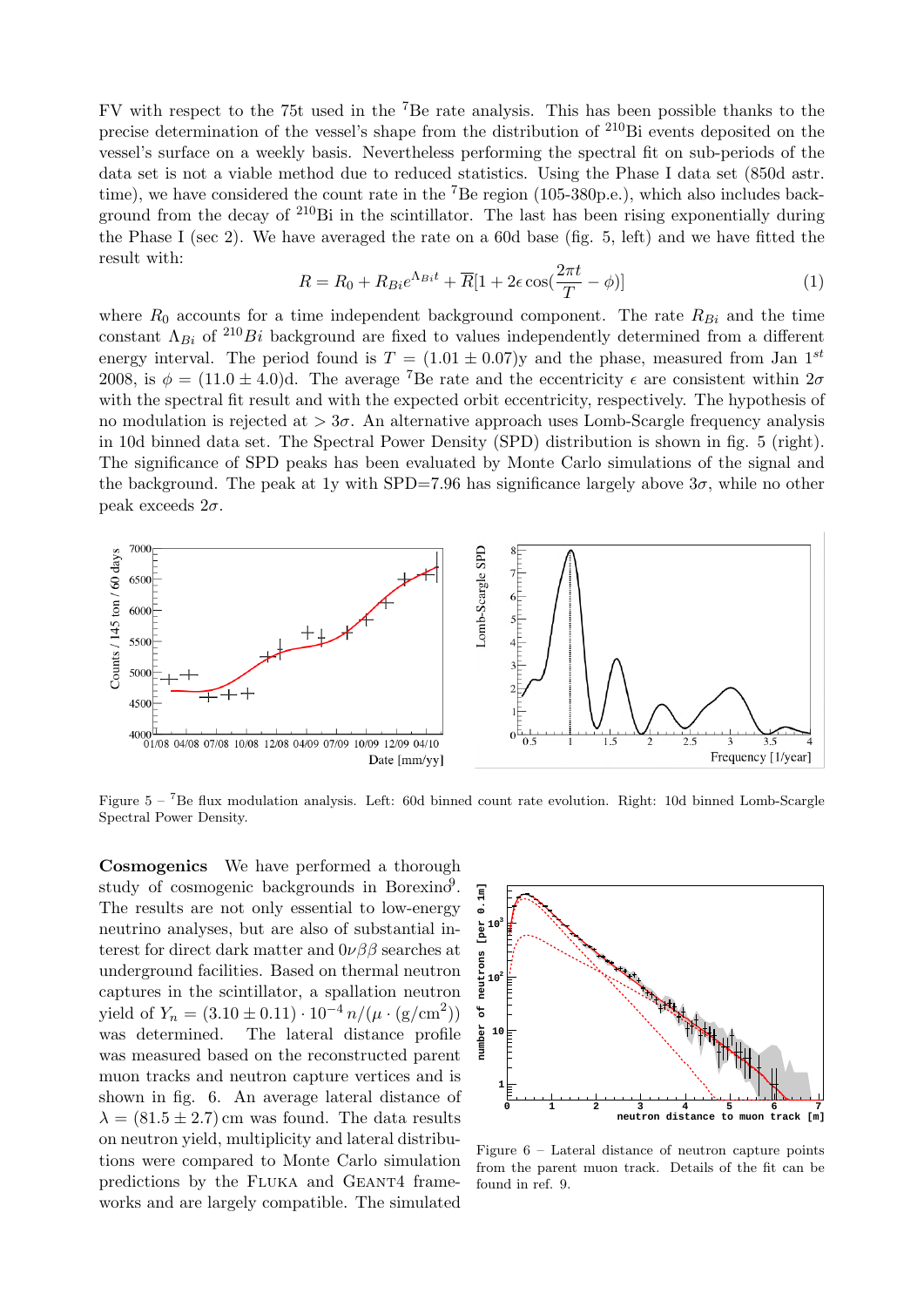FV with respect to the 75t used in the <sup>7</sup>Be rate analysis. This has been possible thanks to the precise determination of the vessel's shape from the distribution of <sup>210</sup>Bi events deposited on the vessel's surface on a weekly basis. Nevertheless performing the spectral fit on sub-periods of the data set is not a viable method due to reduced statistics. Using the Phase I data set (850d astr. time), we have considered the count rate in the  ${}^{7}Be$  region (105-380p.e.), which also includes background from the decay of  $2^{10}$ Bi in the scintillator. The last has been rising exponentially during the Phase I (sec [2\)](#page-2-2). We have averaged the rate on a 60d base (fig. [5,](#page-4-0) left) and we have fitted the result with:

<span id="page-4-0"></span>
$$
R = R_0 + R_{Bi}e^{\Lambda_{Bi}t} + \overline{R}[1 + 2\epsilon \cos(\frac{2\pi t}{T} - \phi)]
$$
\n(1)

where  $R_0$  accounts for a time independent background component. The rate  $R_{Bi}$  and the time constant  $\Lambda_{Bi}$  of <sup>210</sup>Bi background are fixed to values independently determined from a different energy interval. The period found is  $T = (1.01 \pm 0.07)$ y and the phase, measured from Jan 1<sup>st</sup> 2008, is  $\phi = (11.0 \pm 4.0)$ d. The average <sup>7</sup>Be rate and the eccentricity  $\epsilon$  are consistent within  $2\sigma$ with the spectral fit result and with the expected orbit eccentricity, respectively. The hypothesis of no modulation is rejected at  $> 3\sigma$ . An alternative approach uses Lomb-Scargle frequency analysis in 10d binned data set. The Spectral Power Density (SPD) distribution is shown in fig. [5](#page-4-0) (right). The significance of SPD peaks has been evaluated by Monte Carlo simulations of the signal and the background. The peak at 1y with SPD=7.96 has significance largely above  $3\sigma$ , while no other peak exceeds  $2\sigma$ .



Figure 5 – <sup>7</sup>Be flux modulation analysis. Left: 60d binned count rate evolution. Right: 10d binned Lomb-Scargle Spectral Power Density.

<span id="page-4-1"></span>Cosmogenics We have performed a thorough study of cosmogenic backgrounds in Borexino<sup>[9](#page-7-8)</sup>. The results are not only essential to low-energy neutrino analyses, but are also of substantial interest for direct dark matter and  $0\nu\beta\beta$  searches at underground facilities. Based on thermal neutron captures in the scintillator, a spallation neutron yield of  $Y_n = (3.10 \pm 0.11) \cdot 10^{-4} n / (\mu \cdot (\text{g/cm}^2))$ was determined. The lateral distance profile was measured based on the reconstructed parent muon tracks and neutron capture vertices and is shown in fig. [6.](#page-4-1) An average lateral distance of  $\lambda = (81.5 \pm 2.7)$  cm was found. The data results on neutron yield, multiplicity and lateral distributions were compared to Monte Carlo simulation predictions by the Fluka and Geant4 frameworks and are largely compatible. The simulated



Figure  $6$  – Lateral distance of neutron capture points from the parent muon track. Details of the fit can be found in ref. 0.  $s_{\text{max}}$  and the toy Monte  $\alpha$  is indicated by the solid red line. The dashed by the solid red line. The dashed by the dashed by the solid red line. The dashed by the dashed by the dashed by the dashed by the dashed by found in ref. 9.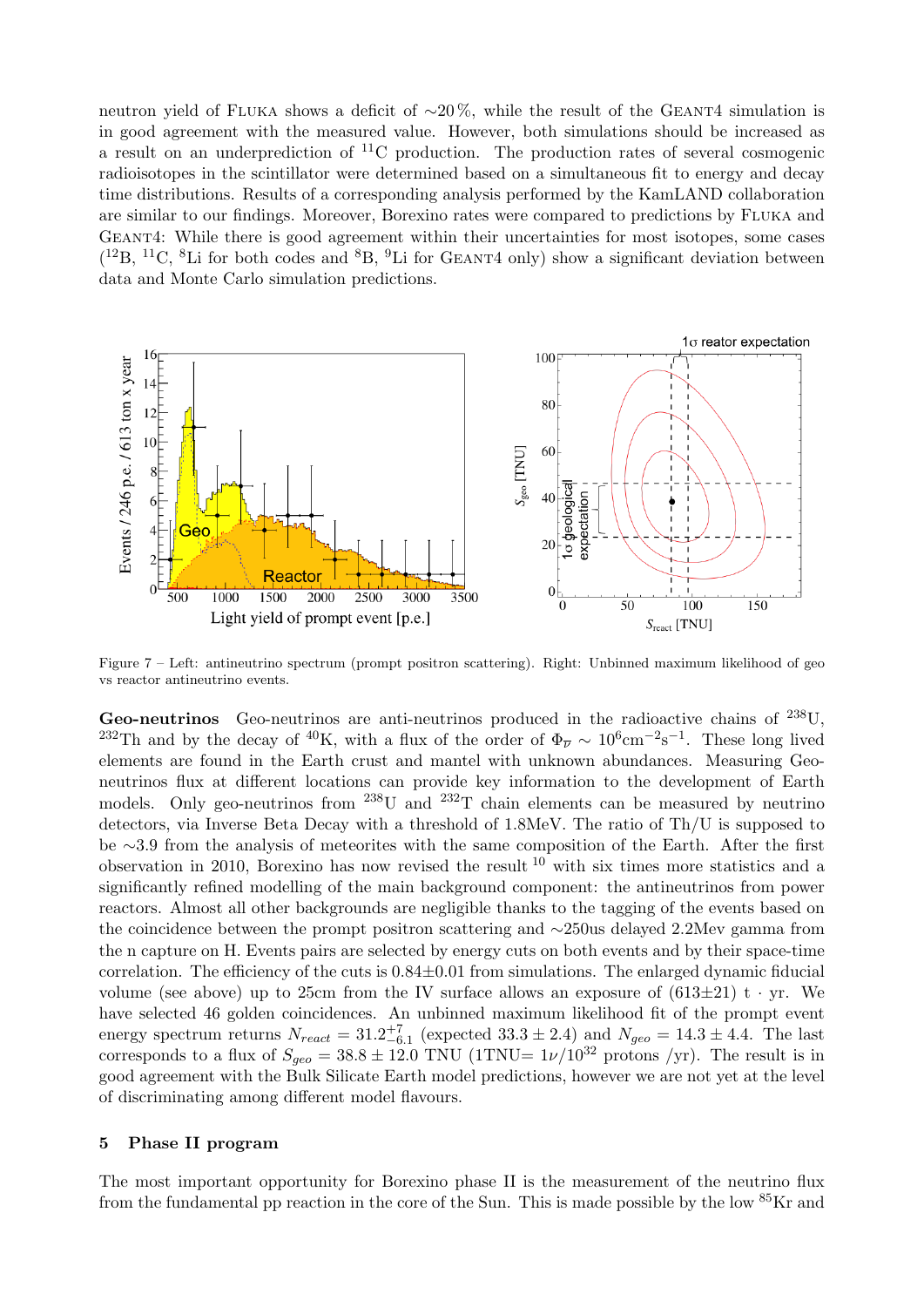neutron yield of FLUKA shows a deficit of  $\sim$ 20%, while the result of the GEANT4 simulation is in good agreement with the measured value. However, both simulations should be increased as a result on an underprediction of  ${}^{11}C$  production. The production rates of several cosmogenic radioisotopes in the scintillator were determined based on a simultaneous fit to energy and decay time distributions. Results of a corresponding analysis performed by the KamLAND collaboration are similar to our findings. Moreover, Borexino rates were compared to predictions by Fluka and Geant4: While there is good agreement within their uncertainties for most isotopes, some cases  $(^{12}B, ^{11}C, ^{8}Li$  for both codes and  $^{8}B, ^{9}Li$  for GEANT4 only) show a significant deviation between data and Monte Carlo simulation predictions.



Figure 7 – Left: antineutrino spectrum (prompt positron scattering). Right: Unbinned maximum likelihood of geo vs reactor antineutrino events.

<span id="page-5-1"></span>Geo-neutrinos Geo-neutrinos are anti-neutrinos produced in the radioactive chains of <sup>238</sup>U, <sup>232</sup>Th and by the decay of <sup>40</sup>K, with a flux of the order of  $\Phi_{\overline{\nu}} \sim 10^6 \text{cm}^{-2} \text{s}^{-1}$ . These long lived elements are found in the Earth crust and mantel with unknown abundances. Measuring Geoneutrinos flux at different locations can provide key information to the development of Earth models. Only geo-neutrinos from  $^{238}$ U and  $^{232}$ T chain elements can be measured by neutrino detectors, via Inverse Beta Decay with a threshold of 1.8MeV. The ratio of Th/U is supposed to be ∼3.9 from the analysis of meteorites with the same composition of the Earth. After the first observation in 20[10](#page-7-9), Borexino has now revised the result  $^{10}$  with six times more statistics and a significantly refined modelling of the main background component: the antineutrinos from power reactors. Almost all other backgrounds are negligible thanks to the tagging of the events based on the coincidence between the prompt positron scattering and ∼250us delayed 2.2Mev gamma from the n capture on H. Events pairs are selected by energy cuts on both events and by their space-time correlation. The efficiency of the cuts is  $0.84\pm0.01$  from simulations. The enlarged dynamic fiducial volume (see above) up to 25cm from the IV surface allows an exposure of  $(613\pm21)$  t · yr. We have selected 46 golden coincidences. An unbinned maximum likelihood fit of the prompt event energy spectrum returns  $N_{react} = 31.2^{+7}_{-6.1}$  (expected  $33.3 \pm 2.4$ ) and  $N_{geo} = 14.3 \pm 4.4$ . The last corresponds to a flux of  $S_{geo} = 38.8 \pm 12.0$  TNU (1TNU=  $1\nu/10^{32}$  protons /yr). The result is in good agreement with the Bulk Silicate Earth model predictions, however we are not yet at the level of discriminating among different model flavours.

#### <span id="page-5-0"></span>5 Phase II program

The most important opportunity for Borexino phase II is the measurement of the neutrino flux from the fundamental pp reaction in the core of the Sun. This is made possible by the low  ${}^{85}$ Kr and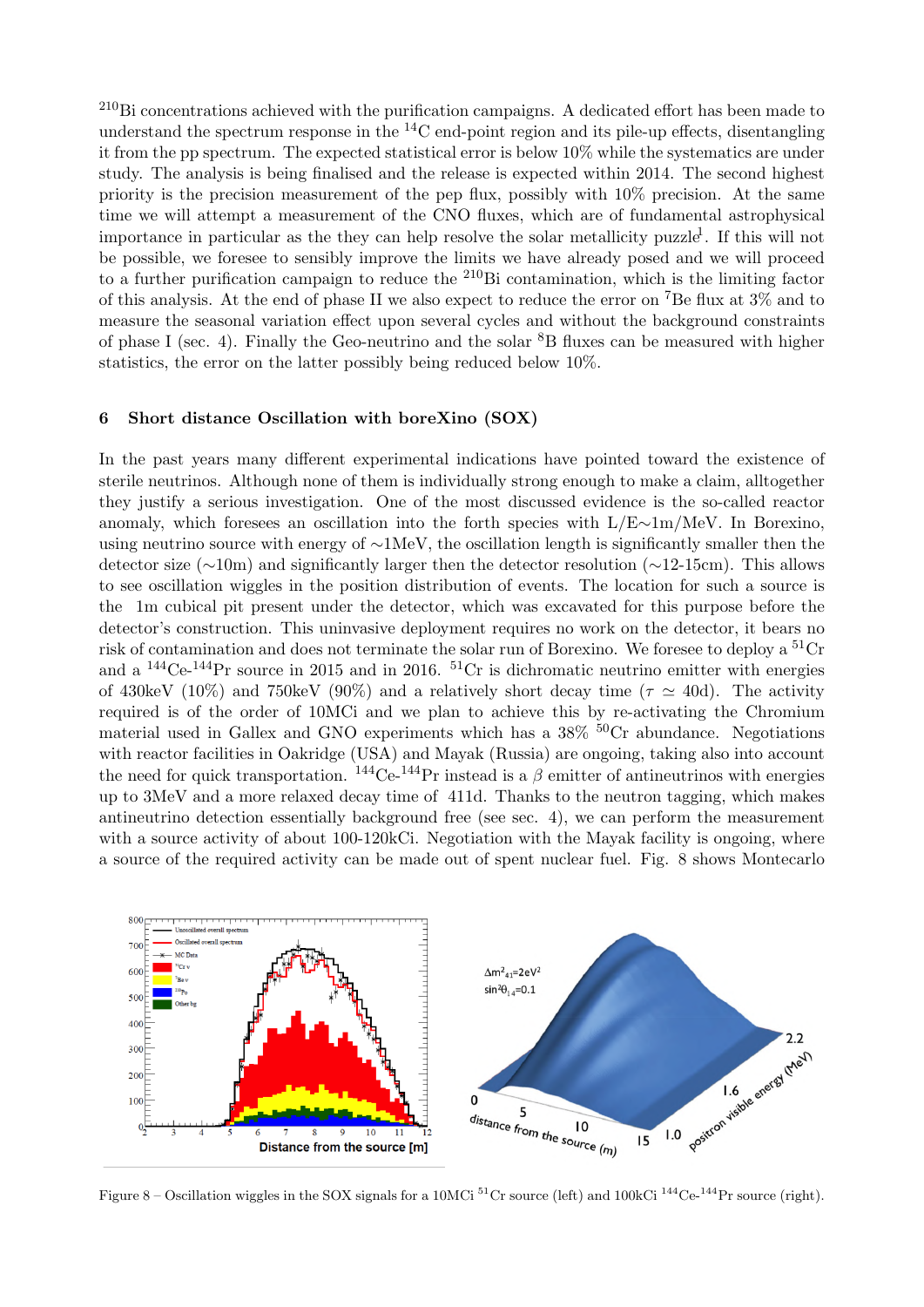<sup>210</sup>Bi concentrations achieved with the purification campaigns. A dedicated effort has been made to understand the spectrum response in the  ${}^{14}$ C end-point region and its pile-up effects, disentangling it from the pp spectrum. The expected statistical error is below 10% while the systematics are under study. The analysis is being finalised and the release is expected within 2014. The second highest priority is the precision measurement of the pep flux, possibly with 10% precision. At the same time we will attempt a measurement of the CNO fluxes, which are of fundamental astrophysical importance in particular as the they can help resolve the solar metallicity puzzle<sup>[1](#page-7-0)</sup>. If this will not be possible, we foresee to sensibly improve the limits we have already posed and we will proceed to a further purification campaign to reduce the  $^{210}$ Bi contamination, which is the limiting factor of this analysis. At the end of phase II we also expect to reduce the error on <sup>7</sup>Be flux at  $3\%$  and to measure the seasonal variation effect upon several cycles and without the background constraints of phase I (sec. [4\)](#page-3-0). Finally the Geo-neutrino and the solar  ${}^{8}B$  fluxes can be measured with higher statistics, the error on the latter possibly being reduced below 10%.

# <span id="page-6-0"></span>6 Short distance Oscillation with boreXino (SOX)

In the past years many different experimental indications have pointed toward the existence of sterile neutrinos. Although none of them is individually strong enough to make a claim, alltogether they justify a serious investigation. One of the most discussed evidence is the so-called reactor anomaly, which foresees an oscillation into the forth species with L/E∼1m/MeV. In Borexino, using neutrino source with energy of ∼1MeV, the oscillation length is significantly smaller then the detector size (∼10m) and significantly larger then the detector resolution (∼12-15cm). This allows to see oscillation wiggles in the position distribution of events. The location for such a source is the 1m cubical pit present under the detector, which was excavated for this purpose before the detector's construction. This uninvasive deployment requires no work on the detector, it bears no risk of contamination and does not terminate the solar run of Borexino. We foresee to deploy a <sup>51</sup>Cr and a  $^{144}$ Ce- $^{144}$ Pr source in 2015 and in 2016.  $^{51}$ Cr is dichromatic neutrino emitter with energies of 430keV (10%) and 750keV (90%) and a relatively short decay time ( $\tau \simeq 40d$ ). The activity required is of the order of 10MCi and we plan to achieve this by re-activating the Chromium material used in Gallex and GNO experiments which has a  $38\%$  <sup>50</sup>Cr abundance. Negotiations with reactor facilities in Oakridge (USA) and Mayak (Russia) are ongoing, taking also into account the need for quick transportation.  $^{144}Ce^{-144}Pr$  instead is a  $\beta$  emitter of antineutrinos with energies up to 3MeV and a more relaxed decay time of 411d. Thanks to the neutron tagging, which makes antineutrino detection essentially background free (see sec. [4\)](#page-5-1), we can perform the measurement with a source activity of about 100-120kCi. Negotiation with the Mayak facility is ongoing, where a source of the required activity can be made out of spent nuclear fuel. Fig. [8](#page-6-0) shows Montecarlo



Figure 8 – Oscillation wiggles in the SOX signals for a 10MCi <sup>51</sup>Cr source (left) and 100kCi <sup>144</sup>Ce-<sup>144</sup>Pr source (right).